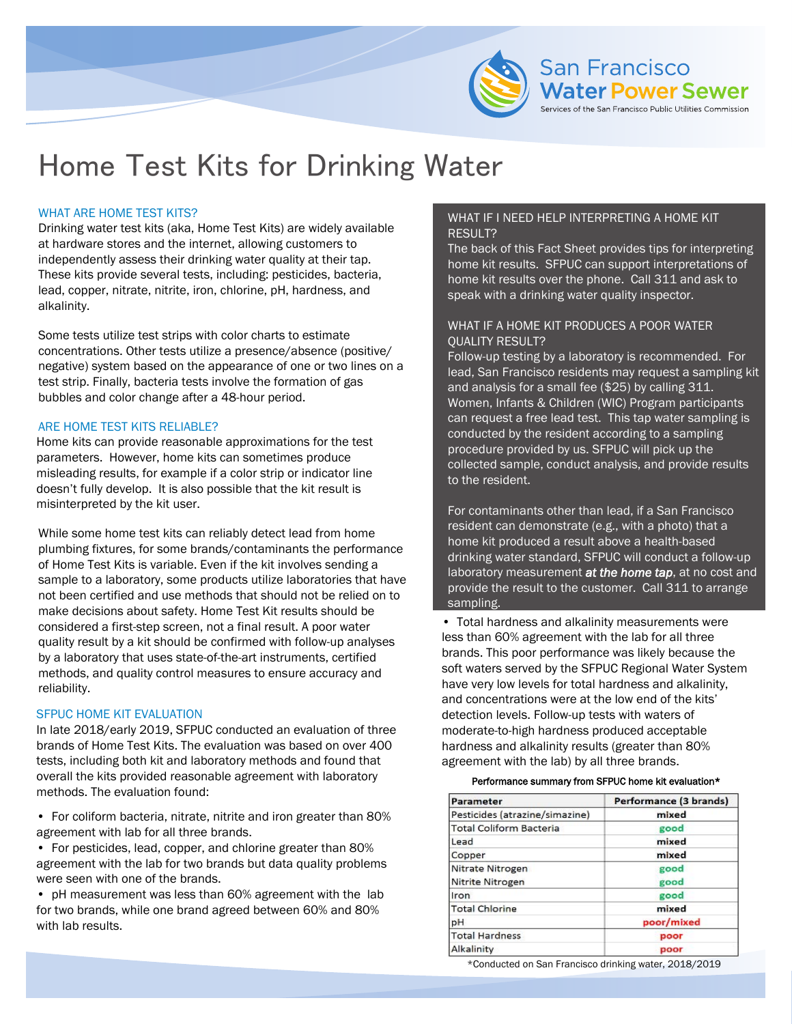

# Home Test Kits for Drinking Water

## WHAT ARE HOME TEST KITS?

Drinking water test kits (aka, Home Test Kits) are widely available at hardware stores and the internet, allowing customers to independently assess their drinking water quality at their tap. These kits provide several tests, including: pesticides, bacteria, lead, copper, nitrate, nitrite, iron, chlorine, pH, hardness, and alkalinity.

Some tests utilize test strips with color charts to estimate concentrations. Other tests utilize a presence/absence (positive/ negative) system based on the appearance of one or two lines on a test strip. Finally, bacteria tests involve the formation of gas bubbles and color change after a 48-hour period.

#### ARE HOME TEST KITS RELIABLE?

Home kits can provide reasonable approximations for the test parameters. However, home kits can sometimes produce misleading results, for example if a color strip or indicator line doesn't fully develop. It is also possible that the kit result is misinterpreted by the kit user.

While some home test kits can reliably detect lead from home plumbing fixtures, for some brands/contaminants the performance of Home Test Kits is variable. Even if the kit involves sending a sample to a laboratory, some products utilize laboratories that have not been certified and use methods that should not be relied on to make decisions about safety. Home Test Kit results should be considered a first-step screen, not a final result. A poor water quality result by a kit should be confirmed with follow-up analyses by a laboratory that uses state-of-the-art instruments, certified methods, and quality control measures to ensure accuracy and reliability.

#### SFPUC HOME KIT EVALUATION

In late 2018/early 2019, SFPUC conducted an evaluation of three brands of Home Test Kits. The evaluation was based on over 400 tests, including both kit and laboratory methods and found that overall the kits provided reasonable agreement with laboratory methods. The evaluation found:

• For coliform bacteria, nitrate, nitrite and iron greater than 80% agreement with lab for all three brands.

• For pesticides, lead, copper, and chlorine greater than 80% agreement with the lab for two brands but data quality problems were seen with one of the brands.

• pH measurement was less than 60% agreement with the lab for two brands, while one brand agreed between 60% and 80% with lab results.

# WHAT IF I NEED HELP INTERPRETING A HOME KIT RESULT?

The back of this Fact Sheet provides tips for interpreting home kit results. SFPUC can support interpretations of home kit results over the phone. Call 311 and ask to speak with a drinking water quality inspector.

### WHAT IF A HOME KIT PRODUCES A POOR WATER QUALITY RESULT?

Follow-up testing by a laboratory is recommended. For lead, San Francisco residents may request a sampling kit and analysis for a small fee (\$25) by calling 311. Women, Infants & Children (WIC) Program participants can request a free lead test. This tap water sampling is conducted by the resident according to a sampling procedure provided by us. SFPUC will pick up the collected sample, conduct analysis, and provide results to the resident.

For contaminants other than lead, if a San Francisco resident can demonstrate (e.g., with a photo) that a home kit produced a result above a health-based drinking water standard, SFPUC will conduct a follow-up laboratory measurement *at the home tap*, at no cost and provide the result to the customer. Call 311 to arrange sampling.

• Total hardness and alkalinity measurements were less than 60% agreement with the lab for all three brands. This poor performance was likely because the soft waters served by the SFPUC Regional Water System have very low levels for total hardness and alkalinity, and concentrations were at the low end of the kits' detection levels. Follow-up tests with waters of moderate-to-high hardness produced acceptable hardness and alkalinity results (greater than 80% agreement with the lab) by all three brands.

#### Performance summary from SFPUC home kit evaluation\*

| Parameter                      | Performance (3 brands) |
|--------------------------------|------------------------|
| Pesticides (atrazine/simazine) | mixed                  |
| <b>Total Coliform Bacteria</b> | good                   |
| Lead                           | mixed                  |
| Copper                         | mixed                  |
| Nitrate Nitrogen               | good                   |
| Nitrite Nitrogen               | good                   |
| Iron                           | good                   |
| <b>Total Chlorine</b>          | mixed                  |
| рH                             | poor/mixed             |
| <b>Total Hardness</b>          | poor                   |
| Alkalinity                     | poor                   |

\*Conducted on San Francisco drinking water, 2018/2019